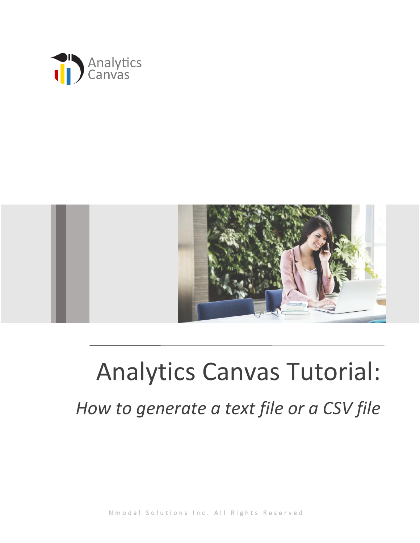



## Analytics Canvas Tutorial: *How to generate a text file or a CSV file*

N m o d a l S o l u t i o n s I n c . All Rights Reserved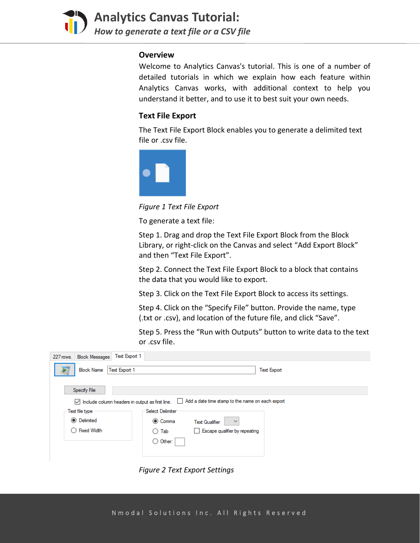

**Analytics Canvas Tutorial:**  *How to generate a text file or a CSV file*

## **Overview**

Welcome to Analytics Canvas's tutorial. This is one of a number of detailed tutorials in which we explain how each feature within Analytics Canvas works, with additional context to help you understand it better, and to use it to best suit your own needs.

## **Text File Export**

The Text File Export Block enables you to generate a delimited text file or .csv file.



*Figure 1 Text File Export*

To generate a text file:

Step 1. Drag and drop the Text File Export Block from the Block Library, or right-click on the Canvas and select "Add Export Block" and then "Text File Export".

Step 2. Connect the Text File Export Block to a block that contains the data that you would like to export.

Step 3. Click on the Text File Export Block to access its settings.

Step 4. Click on the "Specify File" button. Provide the name, type (.txt or .csv), and location of the future file, and click "Save".

Step 5. Press the "Run with Outputs" button to write data to the text or .csv file.

| Text Export 1<br>227 rows. Block Messages                                                                                |                                                             |
|--------------------------------------------------------------------------------------------------------------------------|-------------------------------------------------------------|
| Text Export 1<br><b>Block Name</b>                                                                                       | <b>Text Export</b>                                          |
| Specify File                                                                                                             |                                                             |
| Add a date time stamp to the name on each export<br>$\triangledown$ Include column headers in output as first line.<br>L |                                                             |
| Text file type                                                                                                           | <b>Select Delimiter</b>                                     |
| <b>◎</b> Delimited                                                                                                       | <b>◎ Comma</b><br><b>Text Qualifier</b><br>$\checkmark$     |
| <b>Fixed Width</b>                                                                                                       | Escape qualifier by repeating<br>Tab<br>$\mathsf{L}$<br>( ) |
|                                                                                                                          | $\bigcirc$ Other:                                           |
|                                                                                                                          |                                                             |

*Figure 2 Text Export Settings*